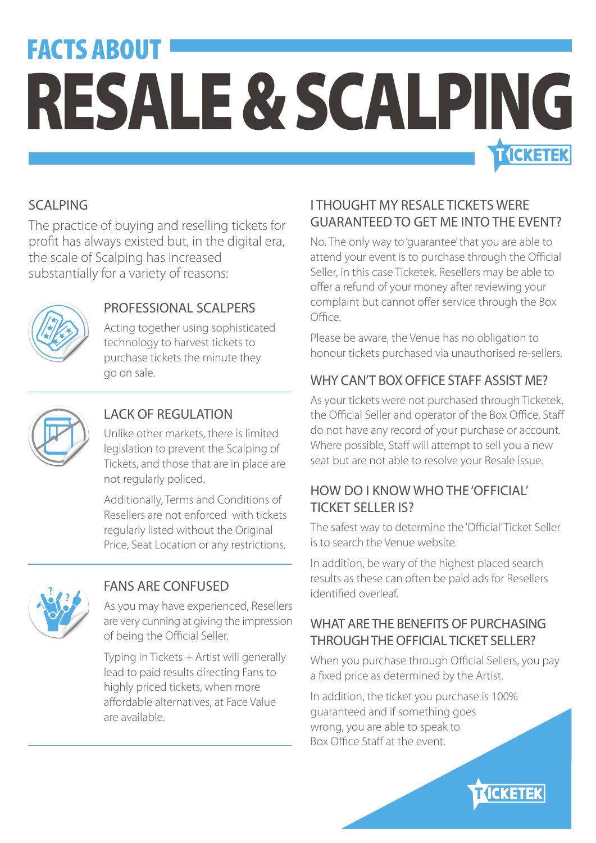## FACTS ABOUT RESALE & SCALPING **T ICKETEK**

#### SCALPING

The practice of buying and reselling tickets for profit has always existed but, in the digital era, the scale of Scalping has increased substantially for a variety of reasons:



#### PROFESSIONAL SCALPERS

Acting together using sophisticated technology to harvest tickets to purchase tickets the minute they go on sale.



#### LACK OF REGULATION

Unlike other markets, there is limited legislation to prevent the Scalping of Tickets, and those that are in place are not regularly policed.

Additionally, Terms and Conditions of Resellers are not enforced with tickets regularly listed without the Original Price, Seat Location or any restrictions.



#### FANS ARE CONFUSED

As you may have experienced, Resellers are very cunning at giving the impression of being the Official Seller.

Typing in Tickets + Artist will generally lead to paid results directing Fans to highly priced tickets, when more affordable alternatives, at Face Value are available.

#### I THOUGHT MY RESALE TICKETS WERE GUARANTEED TO GET ME INTO THE EVENT?

No. The only way to 'guarantee' that you are able to attend your event is to purchase through the Official Seller, in this case Ticketek. Resellers may be able to offer a refund of your money after reviewing your complaint but cannot offer service through the Box Office.

Please be aware, the Venue has no obligation to honour tickets purchased via unauthorised re-sellers.

#### WHY CAN'T BOX OFFICE STAFF ASSIST MF?

As your tickets were not purchased through Ticketek, the Official Seller and operator of the Box Office, Staff do not have any record of your purchase or account. Where possible, Staff will attempt to sell you a new seat but are not able to resolve your Resale issue.

#### HOW DO I KNOW WHO THE 'OFFICIAL' TICKET SELLER IS?

The safest way to determine the 'Official' Ticket Seller is to search the Venue website.

In addition, be wary of the highest placed search results as these can often be paid ads for Resellers identified overleaf

#### WHAT ARE THE BENEFITS OF PURCHASING THROUGH THE OFFICIAL TICKET SELLER?

When you purchase through Official Sellers, you pay a fixed price as determined by the Artist.

**KICKETEK** 

In addition, the ticket you purchase is 100% guaranteed and if something goes wrong, you are able to speak to Box Office Staff at the event.